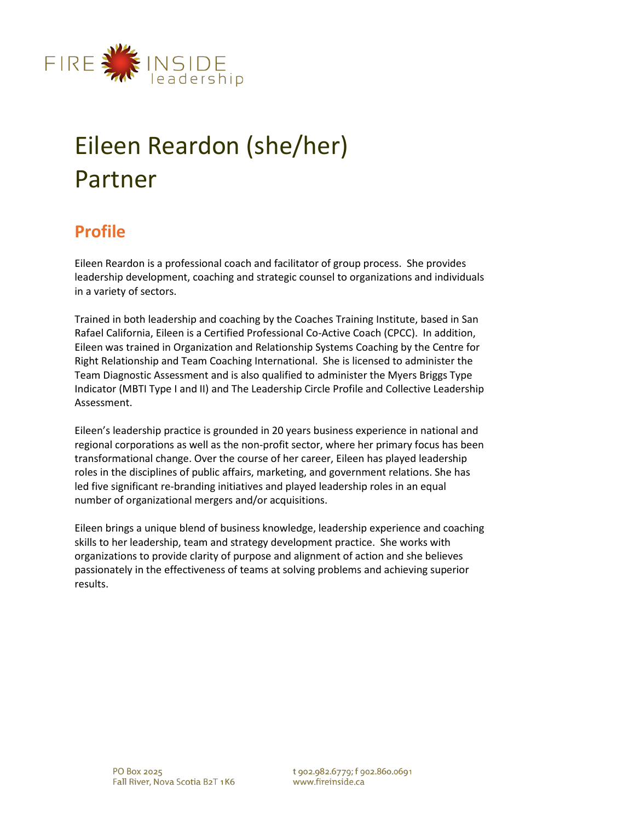

# Eileen Reardon (she/her) Partner

# **Profile**

Eileen Reardon is a professional coach and facilitator of group process. She provides leadership development, coaching and strategic counsel to organizations and individuals in a variety of sectors.

Trained in both leadership and coaching by the Coaches Training Institute, based in San Rafael California, Eileen is a Certified Professional Co-Active Coach (CPCC). In addition, Eileen was trained in Organization and Relationship Systems Coaching by the Centre for Right Relationship and Team Coaching International. She is licensed to administer the Team Diagnostic Assessment and is also qualified to administer the Myers Briggs Type Indicator (MBTI Type I and II) and The Leadership Circle Profile and Collective Leadership Assessment.

Eileen's leadership practice is grounded in 20 years business experience in national and regional corporations as well as the non-profit sector, where her primary focus has been transformational change. Over the course of her career, Eileen has played leadership roles in the disciplines of public affairs, marketing, and government relations. She has led five significant re-branding initiatives and played leadership roles in an equal number of organizational mergers and/or acquisitions.

Eileen brings a unique blend of business knowledge, leadership experience and coaching skills to her leadership, team and strategy development practice. She works with organizations to provide clarity of purpose and alignment of action and she believes passionately in the effectiveness of teams at solving problems and achieving superior results.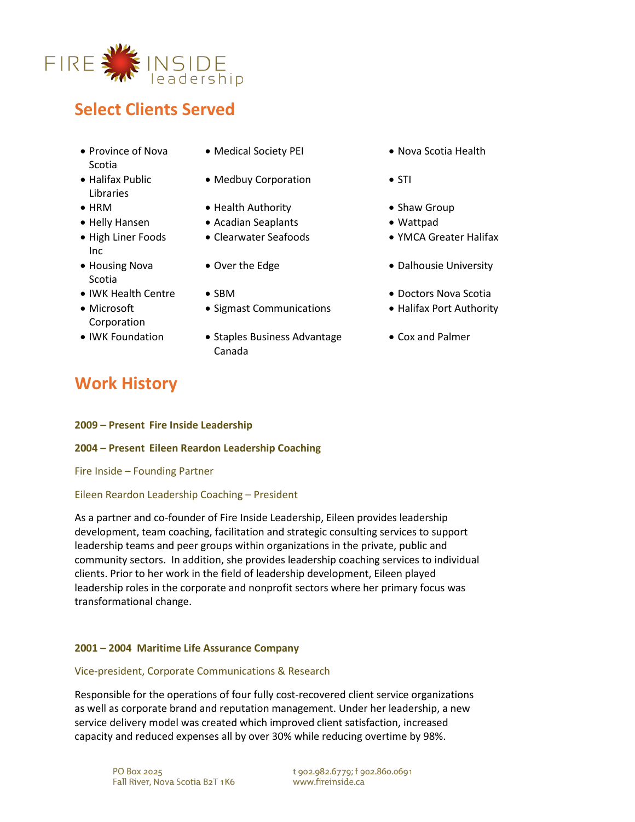

# **Select Clients Served**

- Province of Nova Scotia
- Halifax Public Libraries
- 
- 
- High Liner Foods Inc
- Housing Nova Scotia
- 
- Microsoft Corporation
- 
- Medical Society PEI Nova Scotia Health
- Medbuy Corporation STI
- HRM Health Authority Shaw Group
- Helly Hansen Acadian Seaplants Wattpad
	-
	-
	-
	- Sigmast Communications Halifax Port Authority
- IWK Foundation Staples Business Advantage Canada
- 
- 
- 
- 
- Clearwater Seafoods YMCA Greater Halifax
- Over the Edge  **Dalhousie University**
- IWK Health Centre SBM Doctors Nova Scotia
	-
	- Cox and Palmer

# **Work History**

#### **2009 – Present Fire Inside Leadership**

### **2004 – Present Eileen Reardon Leadership Coaching**

Fire Inside – Founding Partner

### Eileen Reardon Leadership Coaching – President

As a partner and co-founder of Fire Inside Leadership, Eileen provides leadership development, team coaching, facilitation and strategic consulting services to support leadership teams and peer groups within organizations in the private, public and community sectors. In addition, she provides leadership coaching services to individual clients. Prior to her work in the field of leadership development, Eileen played leadership roles in the corporate and nonprofit sectors where her primary focus was transformational change.

### **2001 – 2004 Maritime Life Assurance Company**

### Vice-president, Corporate Communications & Research

Responsible for the operations of four fully cost-recovered client service organizations as well as corporate brand and reputation management. Under her leadership, a new service delivery model was created which improved client satisfaction, increased capacity and reduced expenses all by over 30% while reducing overtime by 98%.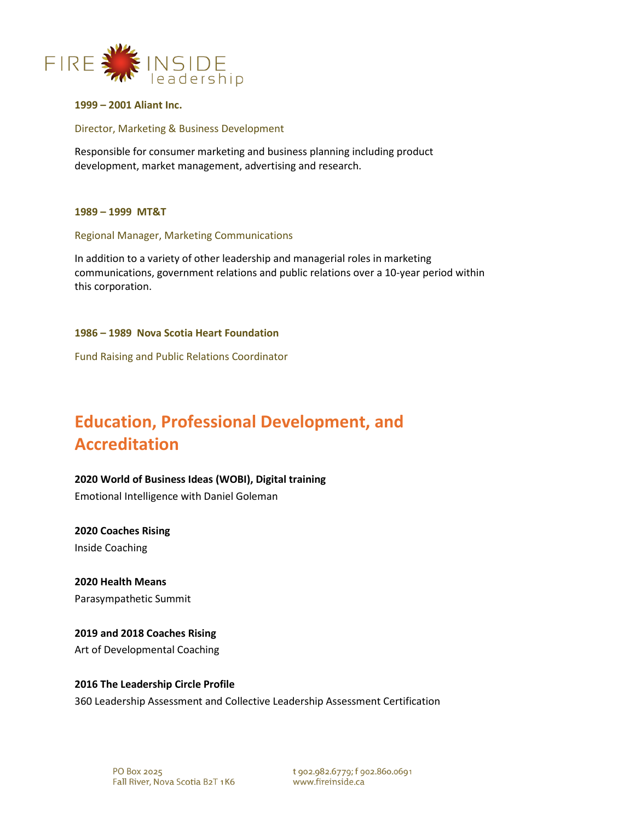

**1999 – 2001 Aliant Inc.**

#### Director, Marketing & Business Development

Responsible for consumer marketing and business planning including product development, market management, advertising and research.

#### **1989 – 1999 MT&T**

#### Regional Manager, Marketing Communications

In addition to a variety of other leadership and managerial roles in marketing communications, government relations and public relations over a 10-year period within this corporation.

#### **1986 – 1989 Nova Scotia Heart Foundation**

Fund Raising and Public Relations Coordinator

# **Education, Professional Development, and Accreditation**

#### **2020 World of Business Ideas (WOBI), Digital training**

Emotional Intelligence with Daniel Goleman

**2020 Coaches Rising** Inside Coaching

### **2020 Health Means**

Parasympathetic Summit

#### **2019 and 2018 Coaches Rising**

Art of Developmental Coaching

#### **2016 The Leadership Circle Profile**

360 Leadership Assessment and Collective Leadership Assessment Certification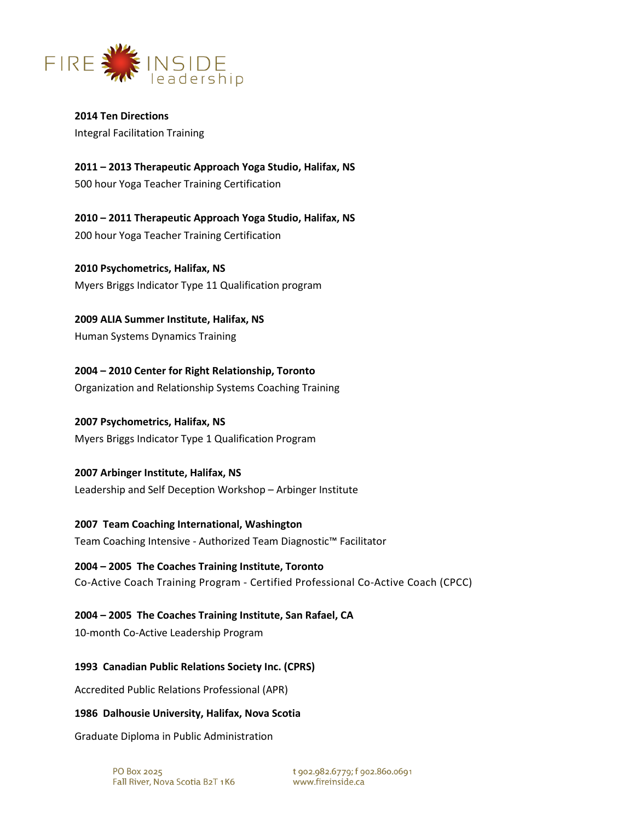

**2014 Ten Directions** Integral Facilitation Training

**2011 – 2013 Therapeutic Approach Yoga Studio, Halifax, NS** 500 hour Yoga Teacher Training Certification

**2010 – 2011 Therapeutic Approach Yoga Studio, Halifax, NS** 200 hour Yoga Teacher Training Certification

**2010 Psychometrics, Halifax, NS** Myers Briggs Indicator Type 11 Qualification program

**2009 ALIA Summer Institute, Halifax, NS** Human Systems Dynamics Training

**2004 – 2010 Center for Right Relationship, Toronto** Organization and Relationship Systems Coaching Training

# **2007 Psychometrics, Halifax, NS**

Myers Briggs Indicator Type 1 Qualification Program

# **2007 Arbinger Institute, Halifax, NS** Leadership and Self Deception Workshop – Arbinger Institute

# **2007 Team Coaching International, Washington**

Team Coaching Intensive - Authorized Team Diagnostic™ Facilitator

# **2004 – 2005 The Coaches Training Institute, Toronto**

Co-Active Coach Training Program - Certified Professional Co-Active Coach (CPCC)

# **2004 – 2005 The Coaches Training Institute, San Rafael, CA**

10-month Co-Active Leadership Program

# **1993 Canadian Public Relations Society Inc. (CPRS)**

Accredited Public Relations Professional (APR)

# **1986 Dalhousie University, Halifax, Nova Scotia**

Graduate Diploma in Public Administration

t 902.982.6779; f 902.860.0691 www.fireinside.ca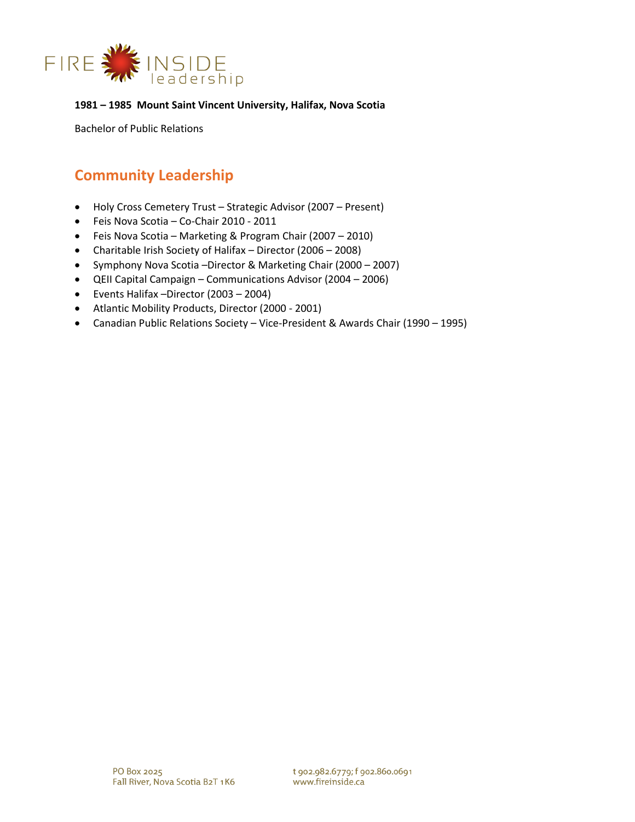

#### **1981 – 1985 Mount Saint Vincent University, Halifax, Nova Scotia**

Bachelor of Public Relations

# **Community Leadership**

- Holy Cross Cemetery Trust Strategic Advisor (2007 Present)
- Feis Nova Scotia Co-Chair 2010 2011
- Feis Nova Scotia Marketing & Program Chair (2007 2010)
- Charitable Irish Society of Halifax Director (2006 2008)
- Symphony Nova Scotia –Director & Marketing Chair (2000 2007)
- QEII Capital Campaign Communications Advisor (2004 2006)
- Events Halifax –Director (2003 2004)
- Atlantic Mobility Products, Director (2000 2001)
- Canadian Public Relations Society Vice-President & Awards Chair (1990 1995)